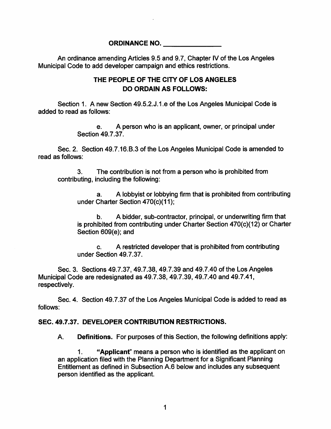## **ORDINANCE NO.**

An ordinance amending Articles 9.5 and 9.7, Chapter IV of the Los Angeles Municipal Code to add developer campaign and ethics restrictions.

## **THE PEOPLE OF THE CITY OF LOS ANGELES DO ORDAIN AS FOLLOWS:**

Section 1. A new Section 49.5.2.J.1 .e of the Los Angeles Municipal Code is added to read as follows:

> e. A person who is an applicant, owner, or principal under Section 49.7.37.

Sec. 2. Section 49.7.16.B.3 of the Los Angeles Municipal Code is amended to read as follows:

The contribution is not from a person who is prohibited from contributing, including the following: 3.

A lobbyist or lobbying firm that is prohibited from contributing under Charter Section 470(c)(11); a.

A bidder, sub-contractor, principal, or underwriting firm that is prohibited from contributing under Charter Section 470(c)(12) or Charter Section 609(e); and b.

c. A restricted developer that is prohibited from contributing under Section 49.7.37.

Sec. 3. Sections 49.7.37, 49.7.38, 49.7.39 and 49.7.40 of the Los Angeles Municipal Code are redesignated as 49.7.38, 49.7.39, 49.7.40 and 49.7.41, respectively.

Sec. 4. Section 49.7.37 of the Los Angeles Municipal Code is added to read as follows:

## **SEC. 49.7.37. DEVELOPER CONTRIBUTION RESTRICTIONS.**

Definitions. For purposes of this Section, the following definitions apply: A.

Applicant" means a person who is identified as the applicant on an application filed with the Planning Department for a Significant Planning Entitlement as defined in Subsection A.6 below and includes any subsequent person identified as the applicant. **1.**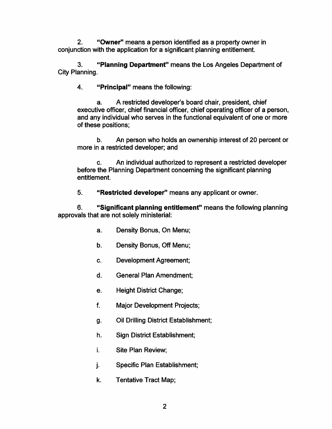"Owner" means a person identified as a property owner in conjunction with the application for a significant planning entitlement. **2.**

3. **Planning Department**" means the Los Angeles Department of City Planning.

4. **Principal**" means the following:

A restricted developer's board chair, president, chief executive officer, chief financial officer, chief operating officer of a person, and any individual who serves in the functional equivalent of one or more of these positions; a.

An person who holds an ownership interest of 20 percent or more in a restricted developer; and b.

An individual authorized to represent a restricted developer before the Planning Department concerning the significant planning entitlement. c.

5. **Restricted developer"** means any applicant or owner. *<sup>u</sup>*

**Significant planning entitlement"** means the following planning *u* approvals that are not solely ministerial: **6.**

- a. Density Bonus, On Menu;
- b. Density Bonus, Off Menu;
- c. Development Agreement;
- d. General Plan Amendment;
- e. Height District Change;
- f. Major Development Projects;
- g. Oil Drilling District Establishment;
- h. Sign District Establishment;
- **i.** Site Plan Review;
- j. Specific Plan Establishment;
- k. Tentative Tract Map;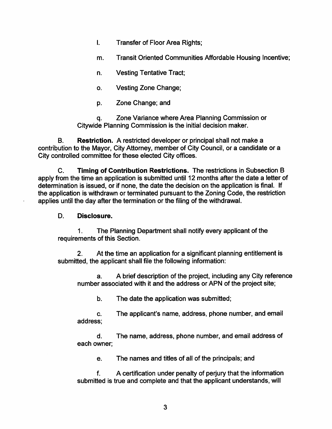- I. Transfer of Floor Area Rights;
- m. Transit Oriented Communities Affordable Housing Incentive;
- n. Vesting Tentative Tract;
- o. Vesting Zone Change;
- **P-** Zone Change; and

Zone Variance where Area Planning Commission or Citywide Planning Commission is the initial decision maker. q.

Restriction. A restricted developer or principal shall not make a contribution to the Mayor, City Attorney, member of City Council, or a candidate or a City controlled committee for these elected City offices. **B.**

Timing of Contribution Restrictions. The restrictions in Subsection B apply from the time an application is submitted until 12 months after the date a letter of determination is issued, or if none, the date the decision on the application is final. If the application is withdrawn or terminated pursuant to the Zoning Code, the restriction applies until the day after the termination or the filing of the withdrawal. C.

## D. Disclosure.

The Planning Department shall notify every applicant of the requirements of this Section. **1**.

At the time an application for a significant planning entitlement is submitted, the applicant shall file the following information: **2**.

A brief description of the project, including any City reference number associated with it and the address or APN of the project site; a.

b. The date the application was submitted;

c. The applicant's name, address, phone number, and email address;

d. The name, address, phone number, and email address of each owner;

e. The names and titles of all of the principals; and

A certification under penalty of perjury that the information submitted is true and complete and that the applicant understands, will f.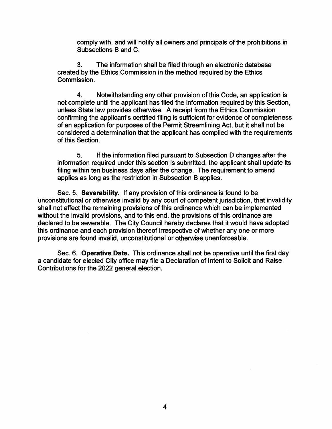comply with, and will notify all owners and principals of the prohibitions in Subsections B and C.

The information shall be filed through an electronic database created by the Ethics Commission in the method required by the Ethics Commission. 3.

Notwithstanding any other provision of this Code, an application is not complete until the applicant has filed the information required by this Section, unless State law provides otherwise. A receipt from the Ethics Commission confirming the applicant's certified filing is sufficient for evidence of completeness of an application for purposes of the Permit Streamlining Act, but it shall not be considered a determination that the applicant has complied with the requirements of this Section. 4.

If the information filed pursuant to Subsection D changes after the information required under this section is submitted, the applicant shall update its filing within ten business days after the change. The requirement to amend applies as long as the restriction in Subsection B applies. 5.

Sec. 5. Severability. If any provision of this ordinance is found to be unconstitutional or otherwise invalid by any court of competent jurisdiction, that invalidity shall not affect the remaining provisions of this ordinance which can be implemented without the invalid provisions, and to this end, the provisions of this ordinance are declared to be severable. The City Council hereby declares that it would have adopted this ordinance and each provision thereof irrespective of whether any one or more provisions are found invalid, unconstitutional or otherwise unenforceable.

Sec. 6. Operative Date. This ordinance shall not be operative until the first day a candidate for elected City office may file a Declaration of Intent to Solicit and Raise Contributions for the 2022 general election.